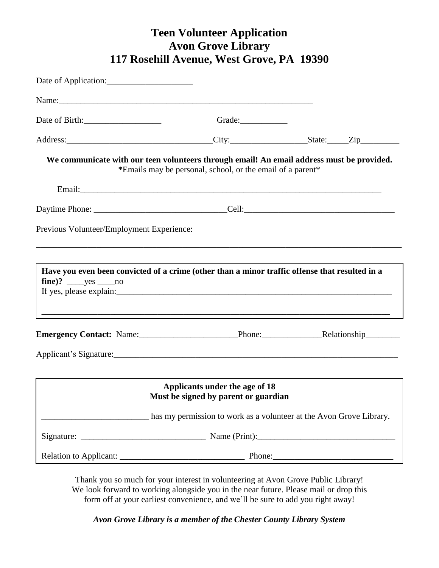## **Teen Volunteer Application Avon Grove Library 117 Rosehill Avenue, West Grove, PA 19390**

| Date of Birth:                            |                                                                                                                                                         |  |
|-------------------------------------------|---------------------------------------------------------------------------------------------------------------------------------------------------------|--|
|                                           |                                                                                                                                                         |  |
|                                           | We communicate with our teen volunteers through email! An email address must be provided.<br>*Emails may be personal, school, or the email of a parent* |  |
|                                           |                                                                                                                                                         |  |
|                                           | Daytime Phone: ___________________________________Cell: _________________________                                                                       |  |
| Previous Volunteer/Employment Experience: |                                                                                                                                                         |  |
|                                           |                                                                                                                                                         |  |
| $fine$ ? $yes$ no                         | Have you even been convicted of a crime (other than a minor traffic offense that resulted in a                                                          |  |
|                                           | Emergency Contact: Name: Phone: Phone: Relationship                                                                                                     |  |
|                                           |                                                                                                                                                         |  |
|                                           | Applicants under the age of 18<br>Must be signed by parent or guardian                                                                                  |  |
|                                           | has my permission to work as a volunteer at the Avon Grove Library.                                                                                     |  |
|                                           |                                                                                                                                                         |  |
|                                           |                                                                                                                                                         |  |

Thank you so much for your interest in volunteering at Avon Grove Public Library! We look forward to working alongside you in the near future. Please mail or drop this form off at your earliest convenience, and we'll be sure to add you right away!

*Avon Grove Library is a member of the Chester County Library System*